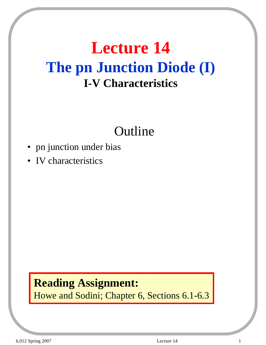# **Lecture 14 The pn Junction Diode (I) I-V Characteristics**

### Outline

- pn junction under bias
- IV characteristics

#### **Reading Assignment:**

Howe and Sodini; Chapter 6, Sections 6.1-6.3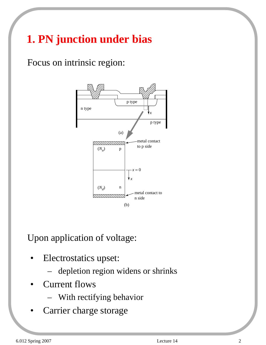### **1. PN junction under bias**

Focus on intrinsic region:



Upon application of voltage:

- Electrostatics upset:
	- depletion region widens or shrinks
- Current flows
	- With rectifying behavior
- Carrier charge storage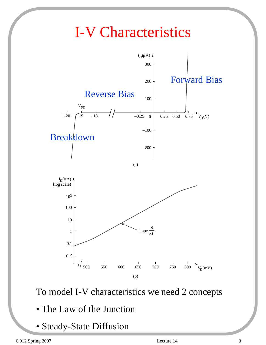## I-V Characteristics



To model I-V characteristics we need 2 concepts

- The Law of the Junction
- Steady-State Diffusion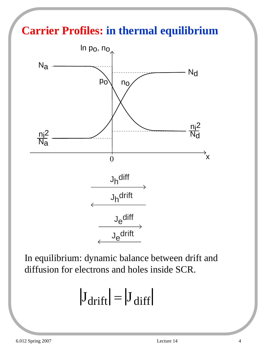#### **Carrier Profiles: in thermal equilibrium**



In equilibrium: dynamic balance between drift and diffusion for electrons and holes inside SCR.

$$
J_{\text{drift}} = J_{\text{diff}}
$$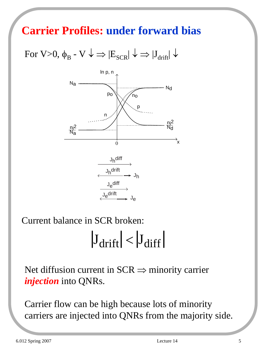#### **Carrier Profiles: under forward bias**

For  $V>0$ ,  $\phi_B - V \downarrow \Rightarrow |E_{SCR}| \downarrow \Rightarrow |J_{drift}| \downarrow$ 



Current balance in SCR broken:

# $|J_{\text{drift}}| < |J_{\text{diff}}|$

Net diffusion current in  $SCR \Rightarrow$  minority carrier *injection* into QNRs.

Carrier flow can be high because lots of minority carriers are injected into QNRs from the majority side.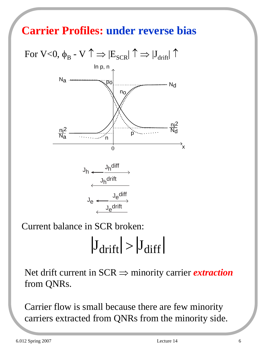#### **Carrier Profiles: under reverse bias**



Current balance in SCR broken:

# $|J_{\text{drift}}| > |J_{\text{diff}}|$

Net drift current in SCR ⇒ minority carrier *extraction* from QNRs.

Carrier flow is small because there are few minority carriers extracted from QNRs from the minority side.

6.012 Spring 2007 Lecture 14 6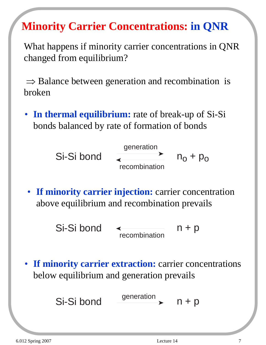#### **Minority Carrier Concentrations: in QNR**

What happens if minority carrier concentrations in QNR changed from equilibrium?

 $\Rightarrow$  Balance between generation and recombination is broken

• **In thermal equilibrium:** rate of break-up of Si-Si bonds balanced by rate of formation of bonds

$$
Si-Si bond \xrightarrow{\text{generation} \atop \text{recombination}} n_0 + p_0
$$

• **If minority carrier injection:** carrier concentration above equilibrium and recombination prevails



• **If minority carrier extraction:** carrier concentrations below equilibrium and generation prevails

 $Si-Si bond$  generation n + p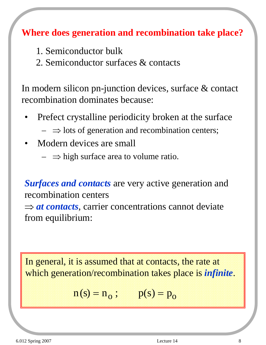#### **Where does generation and recombination take place?**

- 1. Semiconductor bulk
- 2. Semiconductor surfaces & contacts

In modern silicon pn-junction devices, surface & contact recombination dominates because:

- Prefect crystalline periodicity broken at the surface
	- $\Rightarrow$  lots of generation and recombination centers;
- Modern devices are small
	- $\Rightarrow$  high surface area to volume ratio.

*Surfaces and contacts* are very active generation and recombination centers ⇒ *at contacts*, carrier concentrations cannot deviate from equilibrium:

In general, it is assumed that at contacts, the rate at which generation/recombination takes place is *infinite*.

$$
n(s) = n_o ; \qquad p(s) = p_o
$$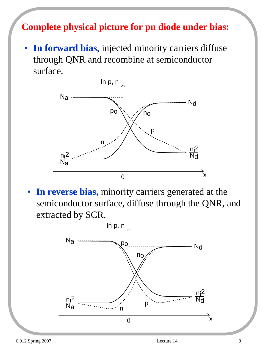#### **Complete physical picture for pn diode under bias:**

• **In forward bias,** injected minority carriers diffuse through QNR and recombine at semiconductor surface.



• **In reverse bias,** minority carriers generated at the semiconductor surface, diffuse through the QNR, and extracted by SCR.

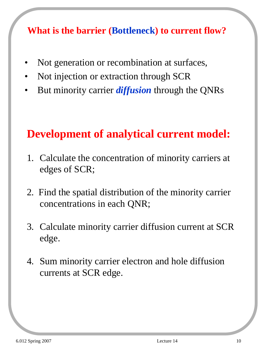#### **What is the barrier (Bottleneck) to current flow?**

- Not generation or recombination at surfaces,
- Not injection or extraction through SCR
- But minority carrier *diffusion* through the QNRs

#### **Development of analytical current model:**

- 1. Calculate the concentration of minority carriers at edges of SCR;
- 2. Find the spatial distribution of the minority carrier concentrations in each QNR;
- 3. Calculate minority carrier diffusion current at SCR edge.
- 4. Sum minority carrier electron and hole diffusion currents at SCR edge.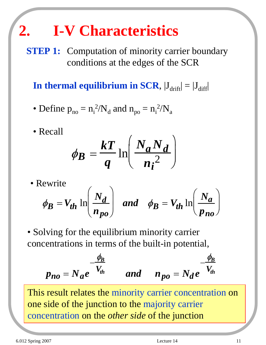# **2. I-V Characteristics**

**STEP 1:** Computation of minority carrier boundary conditions at the edges of the SCR

**In thermal equilibrium in SCR**,  $|J_{drift}| = |J_{diff}|$ 

- Define  $p_{no} = n_i^2/N_d$  and  $n_{po} = n_i^2/N_a$
- Recall

$$
\phi_B = \frac{kT}{q} \ln \left( \frac{N_a N_d}{n_i^2} \right)
$$

• Rewrite

$$
\phi_B = V_{th} \ln \left( \frac{N_d}{n_{po}} \right)
$$
 and  $\phi_B = V_{th} \ln \left( \frac{N_a}{p_{no}} \right)$ 

• Solving for the equilibrium minority carrier concentrations in terms of the built-in potential,

$$
p_{no} = N_a e^{-\frac{\phi_B}{V_{th}}} \qquad and \qquad n_{po} = N_d e^{-\frac{\phi_B}{V_{th}}}
$$

This result relates the minority carrier concentration on one side of the junction to the majority carrier concentration on the *other side* of the junction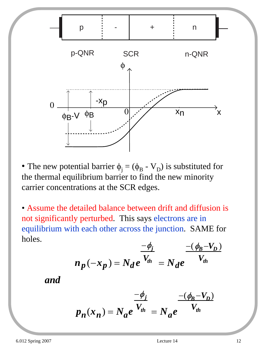

• The new potential barrier  $\phi_j = (\phi_B - V_D)$  is substituted for the thermal equilibrium barrier to find the new minority carrier concentrations at the SCR edges.

• Assume the detailed balance between drift and diffusion is not significantly perturbed. This says electrons are in equilibrium with each other across the junction. SAME for holes.

$$
n_p(-x_p) = N_d e^{\frac{-\phi_j}{V_{th}}} = N_d e^{\frac{-(\phi_B - V_D)}{V_{th}}}
$$

*and*

$$
p_n(x_n) = N_a e^{\frac{-\phi_j}{V_{th}}} = N_a e^{\frac{-(\phi_B - V_D)}{V_{th}}}
$$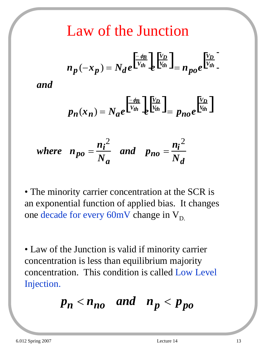### Law of the Junction

$$
n_p(-x_p) = N_d e^{\frac{-\phi_B}{V_{th}}} e^{\frac{V_D}{V_{th}}} = n_{po} e^{\frac{V_D}{V_{th}}}.
$$

*and*

$$
p_n(x_n) = N_a e^{\left[\frac{-\phi_B}{V_{th}}\right]} e^{\left[\frac{V_D}{V_{th}}\right]} = p_{no} e^{\left[\frac{V_D}{V_{th}}\right]}
$$

where 
$$
n_{po} = \frac{n_i^2}{N_a}
$$
 and  $p_{no} = \frac{n_i^2}{N_d}$ 

• The minority carrier concentration at the SCR is an exponential function of applied bias. It changes one decade for every 60mV change in  $V_D$ .

• Law of the Junction is valid if minority carrier concentration is less than equilibrium majority concentration. This condition is called Low Level Injection.

$$
p_n < n_{no} \quad and \quad n_p < p_{po}
$$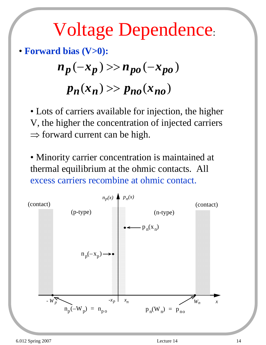# Voltage Dependence:

• **Forward bias (V>0):**

 $n_p(-x_p) >> n_{po}(-x_{po})$ 

 $p_n(x_n) >> p_{n0}(x_{n0})$ 

• Lots of carriers available for injection, the higher V, the higher the concentration of injected carriers  $\Rightarrow$  forward current can be high.

• Minority carrier concentration is maintained at thermal equilibrium at the ohmic contacts. All excess carriers recombine at ohmic contact.

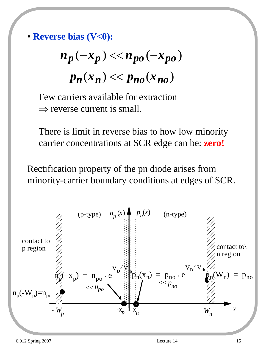• **Reverse bias (V<0):**

 $n_p(-x_p) \ll n_{po}(-x_{po})$  $p_n(x_n) \ll p_{nn}(x_n)$ 

Few carriers available for extraction  $\Rightarrow$  reverse current is small.

There is limit in reverse bias to how low minority carrier concentrations at SCR edge can be: **zero!**

Rectification property of the pn diode arises from minority-carrier boundary conditions at edges of SCR.